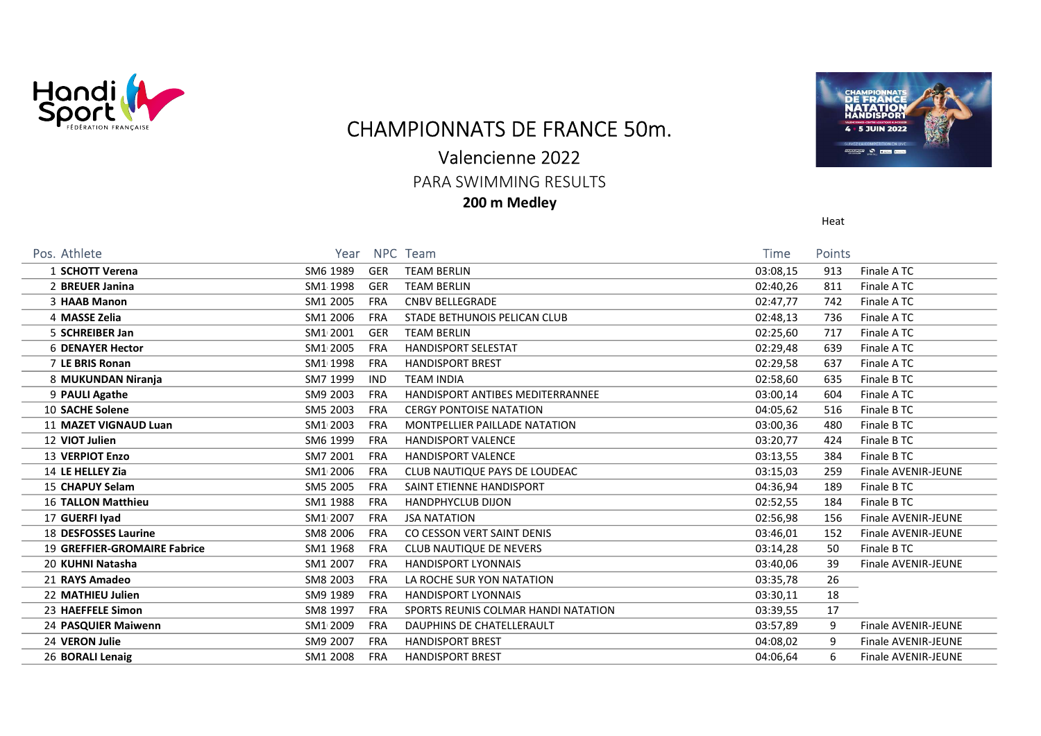

## CHAMPIONNATS DE FRANCE 50m.

## Valencienne 2022

PARA SWIMMING RESULTS

200 m Medley



Heat

| Pos. Athlete                 | Year                   | NPC Team                            | Time     | Points |                            |
|------------------------------|------------------------|-------------------------------------|----------|--------|----------------------------|
| 1 SCHOTT Verena              | SM6 1989<br><b>GER</b> | <b>TEAM BERLIN</b>                  | 03:08,15 | 913    | Finale ATC                 |
| 2 BREUER Janina              | SM1 1998<br><b>GER</b> | <b>TEAM BERLIN</b>                  | 02:40,26 | 811    | Finale ATC                 |
| 3 HAAB Manon                 | SM1 2005<br><b>FRA</b> | <b>CNBV BELLEGRADE</b>              | 02:47,77 | 742    | Finale ATC                 |
| 4 MASSE Zelia                | SM1.2006<br><b>FRA</b> | STADE BETHUNOIS PELICAN CLUB        | 02:48,13 | 736    | Finale ATC                 |
| 5 SCHREIBER Jan              | SM1 2001<br><b>GER</b> | <b>TEAM BERLIN</b>                  | 02:25,60 | 717    | Finale ATC                 |
| <b>6 DENAYER Hector</b>      | SM1 2005<br><b>FRA</b> | <b>HANDISPORT SELESTAT</b>          | 02:29,48 | 639    | Finale ATC                 |
| 7 LE BRIS Ronan              | SM1 1998<br><b>FRA</b> | <b>HANDISPORT BREST</b>             | 02:29,58 | 637    | Finale ATC                 |
| 8 MUKUNDAN Niranja           | SM7 1999<br><b>IND</b> | <b>TEAM INDIA</b>                   | 02:58,60 | 635    | Finale B TC                |
| 9 PAULI Agathe               | SM9 2003<br><b>FRA</b> | HANDISPORT ANTIBES MEDITERRANNEE    | 03:00,14 | 604    | Finale ATC                 |
| 10 SACHE Solene              | SM5 2003<br><b>FRA</b> | <b>CERGY PONTOISE NATATION</b>      | 04:05,62 | 516    | Finale B TC                |
| <b>11 MAZET VIGNAUD Luan</b> | SM1 2003<br><b>FRA</b> | MONTPELLIER PAILLADE NATATION       | 03:00,36 | 480    | Finale B TC                |
| 12 VIOT Julien               | SM6 1999<br><b>FRA</b> | <b>HANDISPORT VALENCE</b>           | 03:20,77 | 424    | Finale B TC                |
| 13 VERPIOT Enzo              | SM7 2001<br><b>FRA</b> | <b>HANDISPORT VALENCE</b>           | 03:13,55 | 384    | Finale B TC                |
| 14 LE HELLEY Zia             | SM1 2006<br><b>FRA</b> | CLUB NAUTIQUE PAYS DE LOUDEAC       | 03:15,03 | 259    | Finale AVENIR-JEUNE        |
| 15 CHAPUY Selam              | SM5 2005<br><b>FRA</b> | SAINT ETIENNE HANDISPORT            | 04:36,94 | 189    | Finale B TC                |
| <b>16 TALLON Matthieu</b>    | SM1 1988<br><b>FRA</b> | <b>HANDPHYCLUB DIJON</b>            | 02:52,55 | 184    | Finale B TC                |
| 17 GUERFI Iyad               | SM1 2007<br><b>FRA</b> | <b>JSA NATATION</b>                 | 02:56,98 | 156    | Finale AVENIR-JEUNE        |
| 18 DESFOSSES Laurine         | SM8 2006<br><b>FRA</b> | CO CESSON VERT SAINT DENIS          | 03:46,01 | 152    | Finale AVENIR-JEUNE        |
| 19 GREFFIER-GROMAIRE Fabrice | SM1 1968<br><b>FRA</b> | CLUB NAUTIQUE DE NEVERS             | 03:14,28 | 50     | Finale B TC                |
| 20 KUHNI Natasha             | SM1 2007<br><b>FRA</b> | <b>HANDISPORT LYONNAIS</b>          | 03:40,06 | 39     | Finale AVENIR-JEUNE        |
| 21 RAYS Amadeo               | SM8 2003<br><b>FRA</b> | LA ROCHE SUR YON NATATION           | 03:35,78 | 26     |                            |
| 22 MATHIEU Julien            | SM9 1989<br><b>FRA</b> | <b>HANDISPORT LYONNAIS</b>          | 03:30,11 | 18     |                            |
| 23 HAEFFELE Simon            | SM8 1997<br><b>FRA</b> | SPORTS REUNIS COLMAR HANDI NATATION | 03:39,55 | 17     |                            |
| 24 PASQUIER Maiwenn          | SM1 2009<br><b>FRA</b> | DAUPHINS DE CHATELLERAULT           | 03:57,89 | 9      | Finale AVENIR-JEUNE        |
| 24 VERON Julie               | SM9 2007<br><b>FRA</b> | <b>HANDISPORT BREST</b>             | 04:08,02 | 9      | <b>Finale AVENIR-JEUNE</b> |
| 26 BORALI Lenaig             | SM1 2008<br>FRA        | <b>HANDISPORT BREST</b>             | 04:06,64 | 6      | <b>Finale AVENIR-JEUNE</b> |
|                              |                        |                                     |          |        |                            |